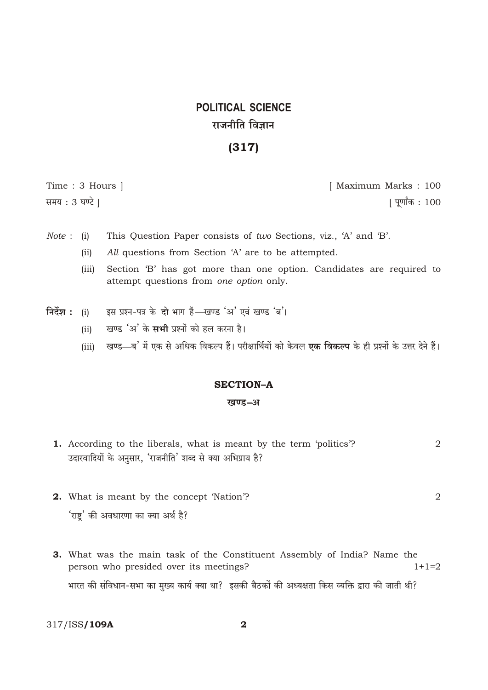# **POLITICAL SCIENCE** राजनीति विज्ञान

## $(317)$

Time: 3 Hours | समय: 3 घण्टे ]

[ Maximum Marks: 100 [ पूर्णांक : 100

 $\overline{2}$ 

- This Question Paper consists of two Sections, viz., 'A' and 'B'. *Note* : (i)
	- All questions from Section 'A' are to be attempted.  $(ii)$
	- Section 'B' has got more than one option. Candidates are required to  $(iii)$ attempt questions from one option only.
- इस प्रश्न-पत्र के दो भाग हैं-खण्ड 'अ' एवं खण्ड 'ब'। निर्देश : (i)
	- खण्ड 'अ' के सभी प्रश्नों को हल करना है।  $(ii)$
	- खण्ड—ब' में एक से अधिक विकल्प हैं। परीक्षार्थियों को केवल **एक विकल्प** के ही प्रश्नों के उत्तर देने हैं।  $(iii)$

## **SECTION-A**

#### खण्ड-अ

- 1. According to the liberals, what is meant by the term 'politics'?  $\overline{2}$ उदारवादियों के अनुसार, 'राजनीति' शब्द से क्या अभिप्राय है?
- 2. What is meant by the concept 'Nation'? 'राष्ट' की अवधारणा का क्या अर्थ है?
- 3. What was the main task of the Constituent Assembly of India? Name the person who presided over its meetings?  $1+1=2$ भारत की संविधान-सभा का मुख्य कार्य क्या था? इसकी बैठकों की अध्यक्षता किस व्यक्ति द्वारा की जाती थी?

317/ISS/109A

 $\overline{\mathbf{2}}$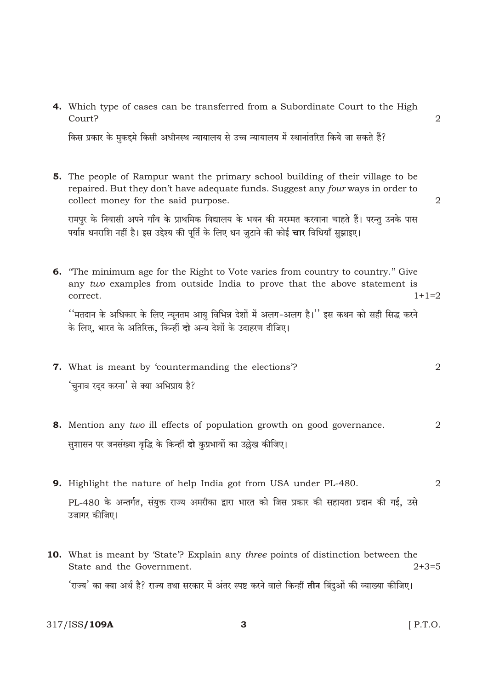4. Which type of cases can be transferred from a Subordinate Court to the High Court?

किस प्रकार के मुकद्दमे किसी अधीनस्थ न्यायालय से उच्च न्यायालय में स्थानांतरित किये जा सकते हैं?

5. The people of Rampur want the primary school building of their village to be repaired. But they don't have adequate funds. Suggest any four ways in order to collect money for the said purpose.

रामपुर के निवासी अपने गाँव के प्राथमिक विद्यालय के भवन की मरम्मत करवाना चाहते हैं। परन्तु उनके पास पर्याप्त धनराशि नहीं है। इस उद्देश्य की पूर्ति के लिए धन जुटाने की कोई **चार** विधियाँ सुझाइए।

**6.** "The minimum age for the Right to Vote varies from country to country." Give any two examples from outside India to prove that the above statement is  $1+1=2$ correct.

''मतदान के अधिकार के लिए न्यूनतम आयु विभिन्न देशों में अलग-अलग है।'' इस कथन को सही सिद्ध करने के लिए. भारत के अतिरिक्त. किन्हीं दो अन्य देशों के उदाहरण दीजिए।

- 7. What is meant by 'countermanding the elections'?  $\overline{2}$ 'चुनाव रदद करना' से क्या अभिप्राय है?
- 8. Mention any two ill effects of population growth on good governance. 2 सुशासन पर जनसंख्या वृद्धि के किन्हीं **दो** कुप्रभावों का उल्लेख कीजिए।
- 9. Highlight the nature of help India got from USA under PL-480.  $\overline{2}$ PL-480 के अन्तर्गत, संयुक्त राज्य अमरीका द्वारा भारत को जिस प्रकार की सहायता प्रदान की गई, उसे उजागर कीजिए।
- 10. What is meant by 'State'? Explain any *three* points of distinction between the State and the Government.  $2+3=5$ 'राज्य' का क्या अर्थ है? राज्य तथा सरकार में अंतर स्पष्ट करने वाले किन्हीं **तीन** बिंदुओं की व्याख्या कीजिए।

317/ISS/109A

 $[$  P.T.O.

 $\overline{2}$ 

 $\overline{2}$ 

3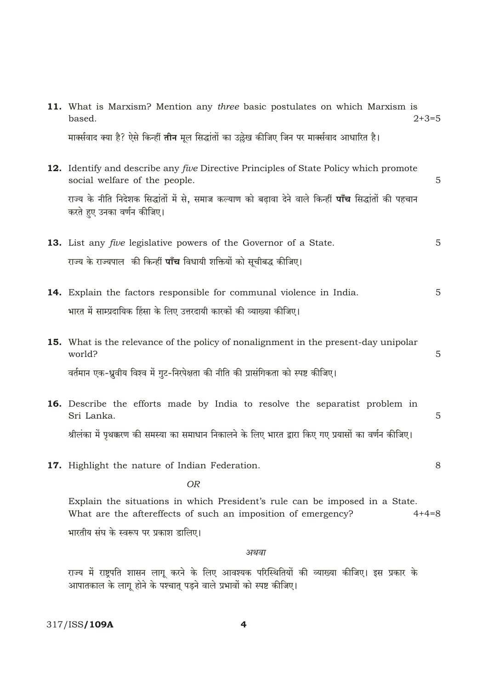| 11. What is Marxism? Mention any three basic postulates on which Marxism is<br>based.                                                         | $2+3=5$        |
|-----------------------------------------------------------------------------------------------------------------------------------------------|----------------|
| मार्क्सवाद क्या है? ऐसे किन्हीं <b>तीन</b> मूल सिद्धांतों का उल्लेख कीजिए जिन पर मार्क्सवाद आधारित है।                                        |                |
| 12. Identify and describe any <i>five</i> Directive Principles of State Policy which promote<br>social welfare of the people.                 | $\overline{5}$ |
| राज्य के नीति निदेशक सिद्धांतों में से, समाज कल्याण को बढ़ावा देने वाले किन्हीं <b>पाँच</b> सिद्धांतों की पहचान<br>करते हुए उनका वर्णन कीजिए। |                |
| 13. List any <i>five</i> legislative powers of the Governor of a State.                                                                       | 5              |
| राज्य के राज्यपाल  की किन्हीं <b>पाँच</b> विधायी शक्तियों को सूचीबद्ध कीजिए।                                                                  |                |
| <b>14.</b> Explain the factors responsible for communal violence in India.                                                                    | 5              |
| भारत में साम्प्रदायिक हिंसा के लिए उत्तरदायी कारकों की व्याख्या कीजिए।                                                                        |                |
| <b>15.</b> What is the relevance of the policy of nonalignment in the present-day unipolar<br>world?                                          | 5              |
| वर्तमान एक-ध्रुवीय विश्व में गुट-निरपेक्षता की नीति की प्रासंगिकता को स्पष्ट कीजिए।                                                           |                |
| 16. Describe the efforts made by India to resolve the separatist problem in<br>Sri Lanka.                                                     | 5              |
| श्रीलंका में पृथक्करण की समस्या का समाधान निकालने के लिए भारत द्वारा किए गए प्रयासों का वर्णन कीजिए।                                          |                |
| 17. Highlight the nature of Indian Federation.                                                                                                | 8              |
| <b>OR</b>                                                                                                                                     |                |
| Explain the situations in which President's rule can be imposed in a State.<br>What are the aftereffects of such an imposition of emergency?  | $4+4=8$        |
| भारतीय संघ के स्वरूप पर प्रकाश डालिए।                                                                                                         |                |
| अथवा                                                                                                                                          |                |

राज्य में राष्ट्रपति शासन लागू करने के लिए आवश्यक परिस्थितियों की व्याख्या कीजिए। इस प्रकार के<br>आपातकाल के लागू होने के पश्चात् पड़ने वाले प्रभावों को स्पष्ट कीजिए।

317/ISS**/109A** 

 $\overline{\mathbf{4}}$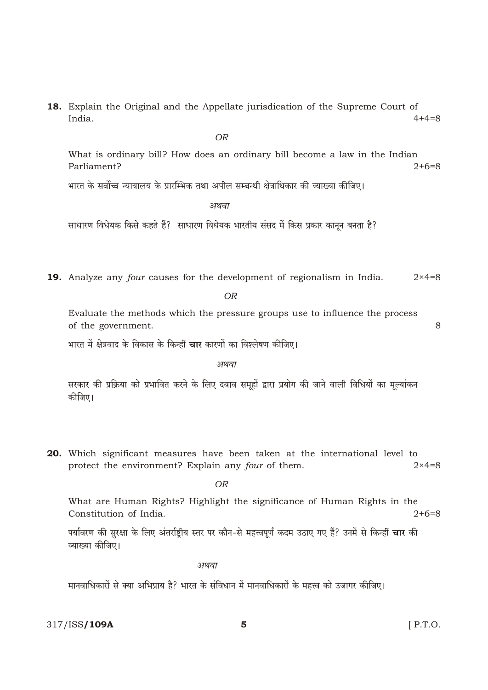18. Explain the Original and the Appellate jurisdication of the Supreme Court of India.  $4+4=8$ 

**OR** 

What is ordinary bill? How does an ordinary bill become a law in the Indian Parliament?  $2+6=8$ 

भारत के सर्वोच्च न्यायालय के प्रारम्भिक तथा अपील सम्बन्धी क्षेत्राधिकार की व्याख्या कीजिए।

अथवा

साधारण विधेयक किसे कहते हैं? साधारण विधेयक भारतीय संसद में किस प्रकार कानून बनता है?

19. Analyze any four causes for the development of regionalism in India.  $2 \times 4 = 8$ 

**OR** 

Evaluate the methods which the pressure groups use to influence the process of the government.

8

भारत में क्षेत्रवाद के विकास के किन्हीं **चार** कारणों का विश्लेषण कीजिए।

अथवा

सरकार की प्रक्रिया को प्रभावित करने के लिए दबाव समूहों द्वारा प्रयोग की जाने वाली विधियों का मूल्यांकन कीजिए।

20. Which significant measures have been taken at the international level to protect the environment? Explain any four of them.  $2 \times 4 = 8$ 

 $\overline{OR}$ 

What are Human Rights? Highlight the significance of Human Rights in the Constitution of India.  $2+6=8$ 

पर्यावरण की सुरक्षा के लिए अंतर्राष्ट्रीय स्तर पर कौन-से महत्त्वपूर्ण कदम उठाए गए हैं? उनमें से किन्हीं **चार** की व्याख्या कीजिए।

अथवा

मानवाधिकारों से क्या अभिप्राय है? भारत के संविधान में मानवाधिकारों के महत्त्व को उजागर कीजिए।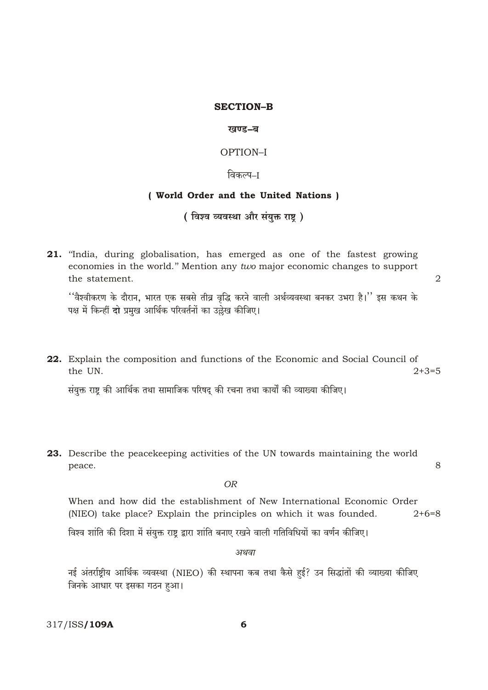#### **SECTION-B**

#### खण्ड-ब

## OPTION-I

## विकल्प–ा

#### ( World Order and the United Nations )

## (विश्व व्यवस्था और संयुक्त राष्ट्र)

21. "India, during globalisation, has emerged as one of the fastest growing economies in the world." Mention any two major economic changes to support the statement.

''वैश्वीकरण के दौरान, भारत एक सबसे तीव्र वृद्धि करने वाली अर्थव्यवस्था बनकर उभरा है।'' इस कथन के पक्ष में किन्हीं दो प्रमुख आर्थिक परिवर्तनों का उल्लेख कीजिए।

 $\overline{2}$ 

8

22. Explain the composition and functions of the Economic and Social Council of the UN.  $2+3=5$ 

संयक्त राष्ट की आर्थिक तथा सामाजिक परिषद की रचना तथा कार्यों की व्याख्या कीजिए।

23. Describe the peacekeeping activities of the UN towards maintaining the world peace.

## $OR$

When and how did the establishment of New International Economic Order (NIEO) take place? Explain the principles on which it was founded.  $2+6=8$ 

विश्व शांति की दिशा में संयुक्त राष्ट्र द्वारा शांति बनाए रखने वाली गतिविधियों का वर्णन कीजिए।

#### अथवा

नई अंतर्राष्ट्रीय आर्थिक व्यवस्था (NIEO) की स्थापना कब तथा कैसे हुई? उन सिद्धांतों की व्याख्या कीजिए जिनके आधार पर इसका गठन हुआ।

317/ISS/109A